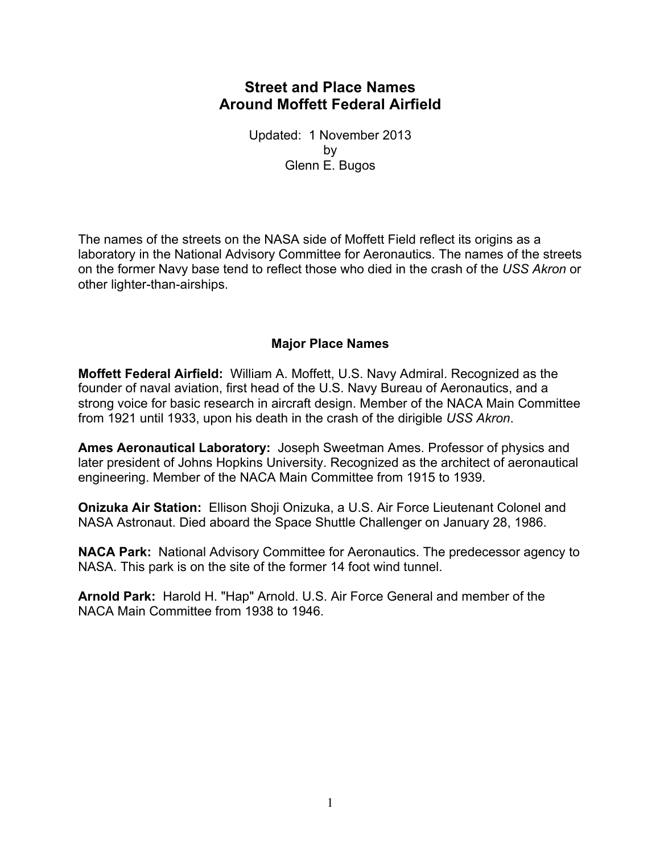# **Street and Place Names Around Moffett Federal Airfield**

Updated: 1 November 2013 by Glenn E. Bugos

The names of the streets on the NASA side of Moffett Field reflect its origins as a laboratory in the National Advisory Committee for Aeronautics. The names of the streets on the former Navy base tend to reflect those who died in the crash of the *USS Akron* or other lighter-than-airships.

## **Major Place Names**

**Moffett Federal Airfield:** William A. Moffett, U.S. Navy Admiral. Recognized as the founder of naval aviation, first head of the U.S. Navy Bureau of Aeronautics, and a strong voice for basic research in aircraft design. Member of the NACA Main Committee from 1921 until 1933, upon his death in the crash of the dirigible *USS Akron*.

**Ames Aeronautical Laboratory:** Joseph Sweetman Ames. Professor of physics and later president of Johns Hopkins University. Recognized as the architect of aeronautical engineering. Member of the NACA Main Committee from 1915 to 1939.

**Onizuka Air Station:** Ellison Shoji Onizuka, a U.S. Air Force Lieutenant Colonel and NASA Astronaut. Died aboard the Space Shuttle Challenger on January 28, 1986.

**NACA Park:** National Advisory Committee for Aeronautics. The predecessor agency to NASA. This park is on the site of the former 14 foot wind tunnel.

**Arnold Park:** Harold H. "Hap" Arnold. U.S. Air Force General and member of the NACA Main Committee from 1938 to 1946.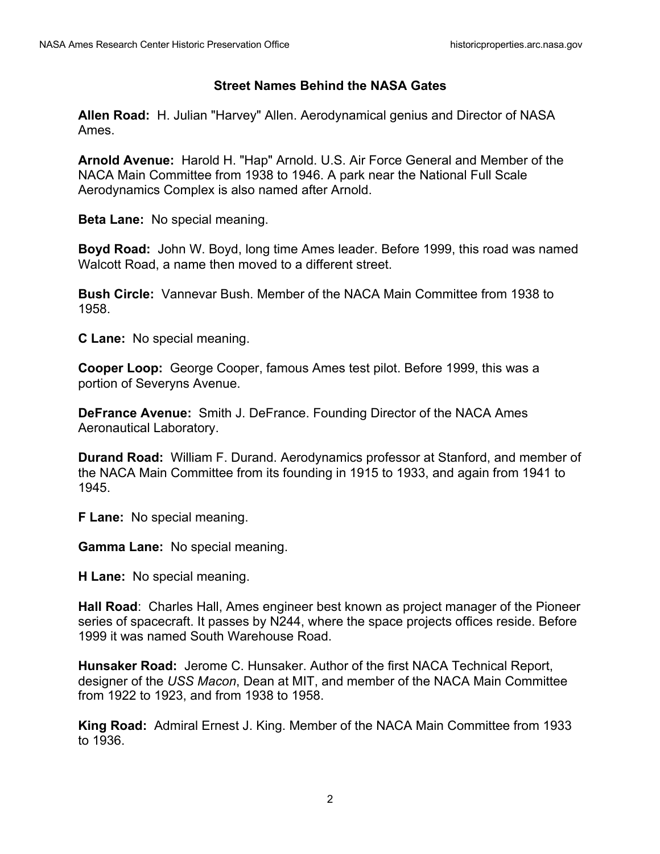## **Street Names Behind the NASA Gates**

**Allen Road:** H. Julian "Harvey" Allen. Aerodynamical genius and Director of NASA Ames.

**Arnold Avenue:** Harold H. "Hap" Arnold. U.S. Air Force General and Member of the NACA Main Committee from 1938 to 1946. A park near the National Full Scale Aerodynamics Complex is also named after Arnold.

**Beta Lane:** No special meaning.

**Boyd Road:** John W. Boyd, long time Ames leader. Before 1999, this road was named Walcott Road, a name then moved to a different street.

**Bush Circle:** Vannevar Bush. Member of the NACA Main Committee from 1938 to 1958.

**C Lane:** No special meaning.

**Cooper Loop:** George Cooper, famous Ames test pilot. Before 1999, this was a portion of Severyns Avenue.

**DeFrance Avenue:** Smith J. DeFrance. Founding Director of the NACA Ames Aeronautical Laboratory.

**Durand Road:** William F. Durand. Aerodynamics professor at Stanford, and member of the NACA Main Committee from its founding in 1915 to 1933, and again from 1941 to 1945.

**F Lane:** No special meaning.

**Gamma Lane:** No special meaning.

**H Lane:** No special meaning.

**Hall Road**: Charles Hall, Ames engineer best known as project manager of the Pioneer series of spacecraft. It passes by N244, where the space projects offices reside. Before 1999 it was named South Warehouse Road.

**Hunsaker Road:** Jerome C. Hunsaker. Author of the first NACA Technical Report, designer of the *USS Macon*, Dean at MIT, and member of the NACA Main Committee from 1922 to 1923, and from 1938 to 1958.

**King Road:** Admiral Ernest J. King. Member of the NACA Main Committee from 1933 to 1936.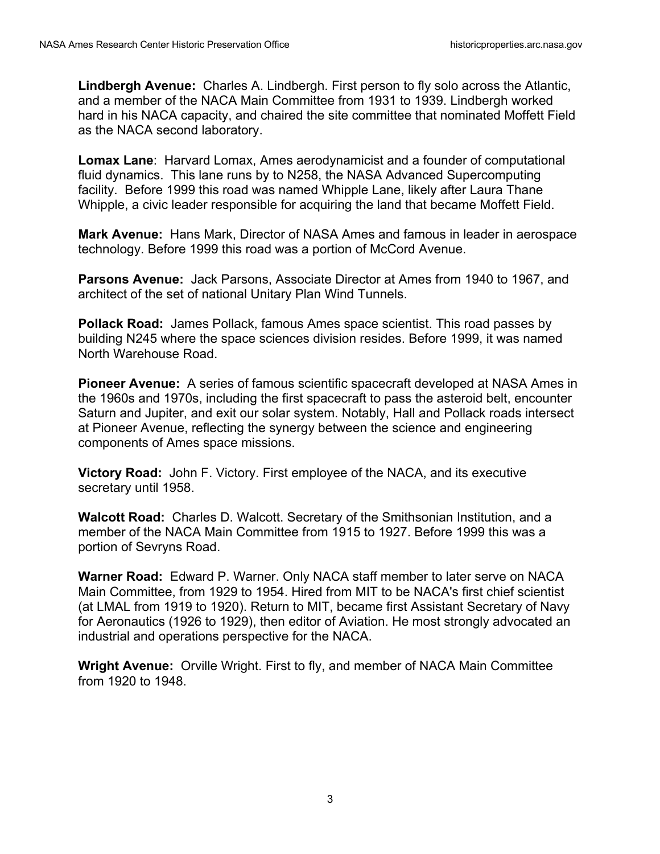**Lindbergh Avenue:** Charles A. Lindbergh. First person to fly solo across the Atlantic, and a member of the NACA Main Committee from 1931 to 1939. Lindbergh worked hard in his NACA capacity, and chaired the site committee that nominated Moffett Field as the NACA second laboratory.

**Lomax Lane**: Harvard Lomax, Ames aerodynamicist and a founder of computational fluid dynamics. This lane runs by to N258, the NASA Advanced Supercomputing facility. Before 1999 this road was named Whipple Lane, likely after Laura Thane Whipple, a civic leader responsible for acquiring the land that became Moffett Field.

**Mark Avenue:** Hans Mark, Director of NASA Ames and famous in leader in aerospace technology. Before 1999 this road was a portion of McCord Avenue.

**Parsons Avenue:** Jack Parsons, Associate Director at Ames from 1940 to 1967, and architect of the set of national Unitary Plan Wind Tunnels.

**Pollack Road:** James Pollack, famous Ames space scientist. This road passes by building N245 where the space sciences division resides. Before 1999, it was named North Warehouse Road.

**Pioneer Avenue:** A series of famous scientific spacecraft developed at NASA Ames in the 1960s and 1970s, including the first spacecraft to pass the asteroid belt, encounter Saturn and Jupiter, and exit our solar system. Notably, Hall and Pollack roads intersect at Pioneer Avenue, reflecting the synergy between the science and engineering components of Ames space missions.

**Victory Road:** John F. Victory. First employee of the NACA, and its executive secretary until 1958.

**Walcott Road:** Charles D. Walcott. Secretary of the Smithsonian Institution, and a member of the NACA Main Committee from 1915 to 1927. Before 1999 this was a portion of Sevryns Road.

**Warner Road:** Edward P. Warner. Only NACA staff member to later serve on NACA Main Committee, from 1929 to 1954. Hired from MIT to be NACA's first chief scientist (at LMAL from 1919 to 1920). Return to MIT, became first Assistant Secretary of Navy for Aeronautics (1926 to 1929), then editor of Aviation. He most strongly advocated an industrial and operations perspective for the NACA.

**Wright Avenue:** Orville Wright. First to fly, and member of NACA Main Committee from 1920 to 1948.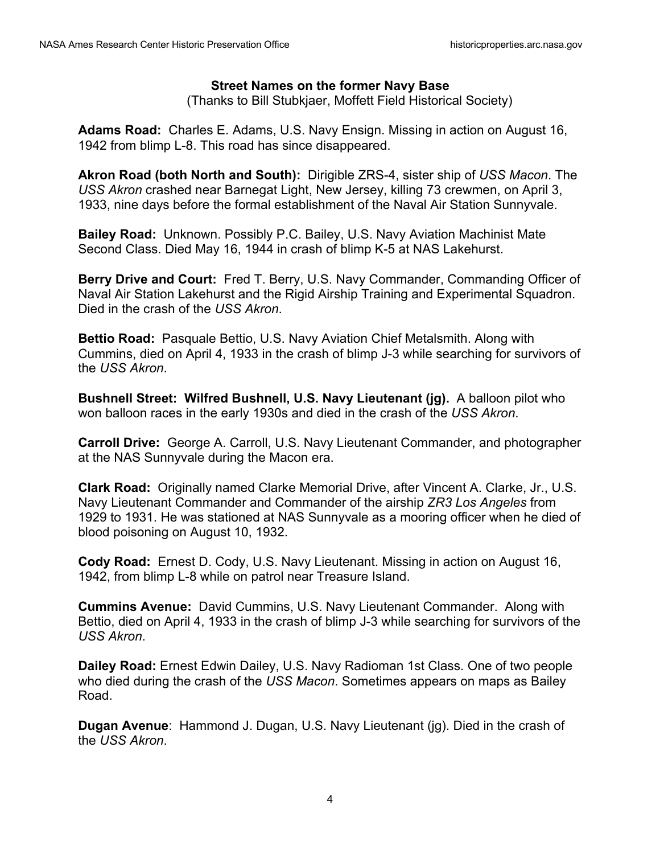### **Street Names on the former Navy Base**

(Thanks to Bill Stubkjaer, Moffett Field Historical Society)

**Adams Road:** Charles E. Adams, U.S. Navy Ensign. Missing in action on August 16, 1942 from blimp L-8. This road has since disappeared.

**Akron Road (both North and South):** Dirigible ZRS-4, sister ship of *USS Macon*. The *USS Akron* crashed near Barnegat Light, New Jersey, killing 73 crewmen, on April 3, 1933, nine days before the formal establishment of the Naval Air Station Sunnyvale.

**Bailey Road:** Unknown. Possibly P.C. Bailey, U.S. Navy Aviation Machinist Mate Second Class. Died May 16, 1944 in crash of blimp K-5 at NAS Lakehurst.

**Berry Drive and Court:** Fred T. Berry, U.S. Navy Commander, Commanding Officer of Naval Air Station Lakehurst and the Rigid Airship Training and Experimental Squadron. Died in the crash of the *USS Akron*.

**Bettio Road:** Pasquale Bettio, U.S. Navy Aviation Chief Metalsmith. Along with Cummins, died on April 4, 1933 in the crash of blimp J-3 while searching for survivors of the *USS Akron*.

**Bushnell Street: Wilfred Bushnell, U.S. Navy Lieutenant (jg).** A balloon pilot who won balloon races in the early 1930s and died in the crash of the *USS Akron*.

**Carroll Drive:** George A. Carroll, U.S. Navy Lieutenant Commander, and photographer at the NAS Sunnyvale during the Macon era.

**Clark Road:** Originally named Clarke Memorial Drive, after Vincent A. Clarke, Jr., U.S. Navy Lieutenant Commander and Commander of the airship *ZR3 Los Angeles* from 1929 to 1931. He was stationed at NAS Sunnyvale as a mooring officer when he died of blood poisoning on August 10, 1932.

**Cody Road:** Ernest D. Cody, U.S. Navy Lieutenant. Missing in action on August 16, 1942, from blimp L-8 while on patrol near Treasure Island.

**Cummins Avenue:** David Cummins, U.S. Navy Lieutenant Commander. Along with Bettio, died on April 4, 1933 in the crash of blimp J-3 while searching for survivors of the *USS Akron*.

**Dailey Road:** Ernest Edwin Dailey, U.S. Navy Radioman 1st Class. One of two people who died during the crash of the *USS Macon*. Sometimes appears on maps as Bailey Road.

**Dugan Avenue**: Hammond J. Dugan, U.S. Navy Lieutenant (jg). Died in the crash of the *USS Akron*.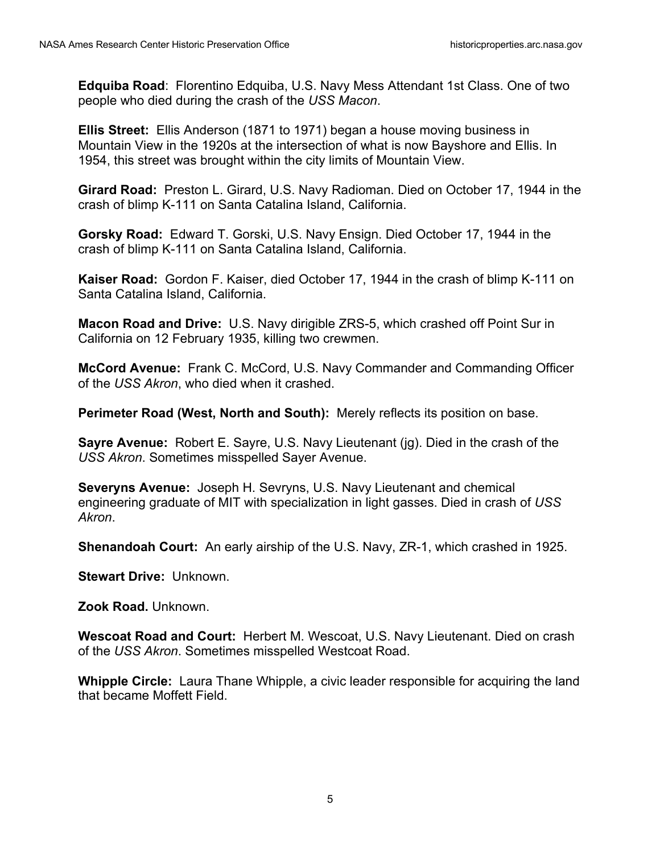**Edquiba Road**: Florentino Edquiba, U.S. Navy Mess Attendant 1st Class. One of two people who died during the crash of the *USS Macon*.

**Ellis Street:** Ellis Anderson (1871 to 1971) began a house moving business in Mountain View in the 1920s at the intersection of what is now Bayshore and Ellis. In 1954, this street was brought within the city limits of Mountain View.

**Girard Road:** Preston L. Girard, U.S. Navy Radioman. Died on October 17, 1944 in the crash of blimp K-111 on Santa Catalina Island, California.

**Gorsky Road:** Edward T. Gorski, U.S. Navy Ensign. Died October 17, 1944 in the crash of blimp K-111 on Santa Catalina Island, California.

**Kaiser Road:** Gordon F. Kaiser, died October 17, 1944 in the crash of blimp K-111 on Santa Catalina Island, California.

**Macon Road and Drive:** U.S. Navy dirigible ZRS-5, which crashed off Point Sur in California on 12 February 1935, killing two crewmen.

**McCord Avenue:** Frank C. McCord, U.S. Navy Commander and Commanding Officer of the *USS Akron*, who died when it crashed.

**Perimeter Road (West, North and South):** Merely reflects its position on base.

**Sayre Avenue:** Robert E. Sayre, U.S. Navy Lieutenant (jg). Died in the crash of the *USS Akron*. Sometimes misspelled Sayer Avenue.

**Severyns Avenue:** Joseph H. Sevryns, U.S. Navy Lieutenant and chemical engineering graduate of MIT with specialization in light gasses. Died in crash of *USS Akron*.

**Shenandoah Court:** An early airship of the U.S. Navy, ZR-1, which crashed in 1925.

**Stewart Drive:** Unknown.

**Zook Road.** Unknown.

**Wescoat Road and Court:** Herbert M. Wescoat, U.S. Navy Lieutenant. Died on crash of the *USS Akron*. Sometimes misspelled Westcoat Road.

**Whipple Circle:** Laura Thane Whipple, a civic leader responsible for acquiring the land that became Moffett Field.